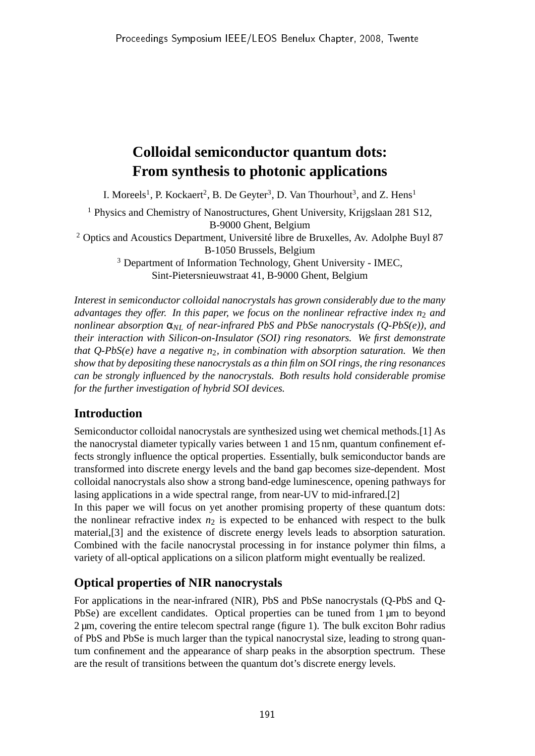# **Colloidal semiconductor quantum dots: From synthesis to photonic applications**

I. Moreels<sup>1</sup>, P. Kockaert<sup>2</sup>, B. De Geyter<sup>3</sup>, D. Van Thourhout<sup>3</sup>, and Z. Hens<sup>1</sup>

<sup>1</sup> Physics and Chemistry of Nanostructures, Ghent University, Krijgslaan 281 S12, B-9000 Ghent, Belgium <sup>2</sup> Optics and Acoustics Department, Université libre de Bruxelles, Av. Adolphe Buyl 87 B-1050 Brussels, Belgium <sup>3</sup> Department of Information Technology, Ghent University - IMEC,

Sint-Pietersnieuwstraat 41, B-9000 Ghent, Belgium

*Interest in semiconductor colloidal nanocrystals has grown considerably due to the many advantages they offer. In this paper, we focus on the nonlinear refractive index n<sub>2</sub> and nonlinear absorption* α*NL of near-infrared PbS and PbSe nanocrystals (Q-PbS(e)), and their interaction with Silicon-on-Insulator (SOI) ring resonators. We first demonstrate that Q-PbS(e) have a negative n*2*, in combination with absorption saturation. We then show that by depositing these nanocrystals as a thin film on SOI rings, the ring resonances can be strongly influenced by the nanocrystals. Both results hold considerable promise for the further investigation of hybrid SOI devices.*

## **Introduction**

Semiconductor colloidal nanocrystals are synthesized using wet chemical methods.[1] As the nanocrystal diameter typically varies between 1 and 15 nm, quantum confinement effects strongly influence the optical properties. Essentially, bulk semiconductor bands are transformed into discrete energy levels and the band gap becomes size-dependent. Most colloidal nanocrystals also show a strong band-edge luminescence, opening pathways for lasing applications in a wide spectral range, from near-UV to mid-infrared.[2]

In this paper we will focus on yet another promising property of these quantum dots: the nonlinear refractive index  $n_2$  is expected to be enhanced with respect to the bulk material,[3] and the existence of discrete energy levels leads to absorption saturation. Combined with the facile nanocrystal processing in for instance polymer thin films, a variety of all-optical applications on a silicon platform might eventually be realized.

## **Optical properties of NIR nanocrystals**

For applications in the near-infrared (NIR), PbS and PbSe nanocrystals (Q-PbS and Q-PbSe) are excellent candidates. Optical properties can be tuned from 1 µm to beyond 2 µm, covering the entire telecom spectral range (figure 1). The bulk exciton Bohr radius of PbS and PbSe is much larger than the typical nanocrystal size, leading to strong quantum confinement and the appearance of sharp peaks in the absorption spectrum. These are the result of transitions between the quantum dot's discrete energy levels.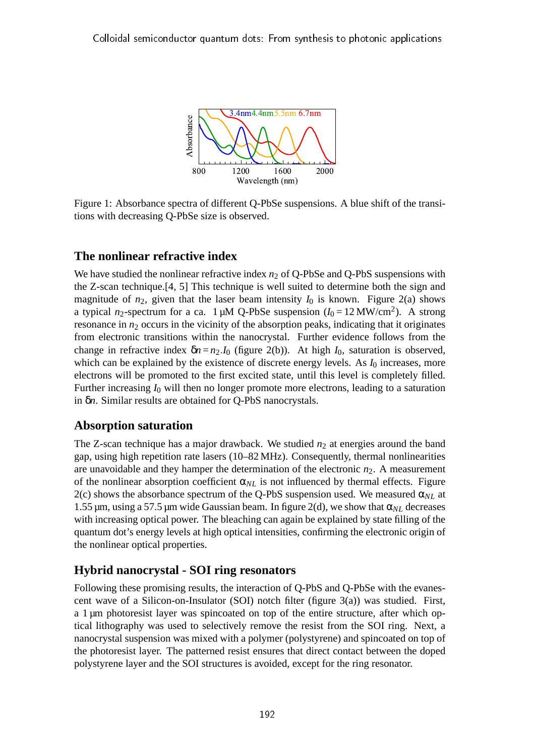

Figure 1: Absorbance spectra of different Q-PbSe suspensions. A blue shift of the transitions with decreasing Q-PbSe size is observed.

#### **The nonlinear refractive index**

We have studied the nonlinear refractive index  $n_2$  of Q-PbSe and Q-PbS suspensions with the Z-scan technique.[4, 5] This technique is well suited to determine both the sign and magnitude of  $n_2$ , given that the laser beam intensity  $I_0$  is known. Figure 2(a) shows a typical  $n_2$ -spectrum for a ca. 1  $\mu$ M Q-PbSe suspension ( $I_0 = 12 \text{ MW/cm}^2$ ). A strong resonance in  $n_2$  occurs in the vicinity of the absorption peaks, indicating that it originates from electronic transitions within the nanocrystal. Further evidence follows from the change in refractive index  $\delta n = n_2.I_0$  (figure 2(b)). At high *I*<sub>0</sub>, saturation is observed, which can be explained by the existence of discrete energy levels. As  $I_0$  increases, more electrons will be promoted to the first excited state, until this level is completely filled. Further increasing  $I_0$  will then no longer promote more electrons, leading to a saturation in δ*n*. Similar results are obtained for Q-PbS nanocrystals.

## **Absorption saturation**

The Z-scan technique has a major drawback. We studied  $n_2$  at energies around the band gap, using high repetition rate lasers (10–82 MHz). Consequently, thermal nonlinearities are unavoidable and they hamper the determination of the electronic  $n_2$ . A measurement of the nonlinear absorption coefficient  $\alpha_{NL}$  is not influenced by thermal effects. Figure 2(c) shows the absorbance spectrum of the Q-PbS suspension used. We measured  $\alpha_{NL}$  at 1.55 µm, using a 57.5 µm wide Gaussian beam. In figure 2(d), we show that  $\alpha_{NL}$  decreases with increasing optical power. The bleaching can again be explained by state filling of the quantum dot's energy levels at high optical intensities, confirming the electronic origin of the nonlinear optical properties.

## **Hybrid nanocrystal - SOI ring resonators**

Following these promising results, the interaction of Q-PbS and Q-PbSe with the evanescent wave of a Silicon-on-Insulator (SOI) notch filter (figure  $3(a)$ ) was studied. First, a 1 µm photoresist layer was spincoated on top of the entire structure, after which optical lithography was used to selectively remove the resist from the SOI ring. Next, a nanocrystal suspension was mixed with a polymer (polystyrene) and spincoated on top of the photoresist layer. The patterned resist ensures that direct contact between the doped polystyrene layer and the SOI structures is avoided, except for the ring resonator.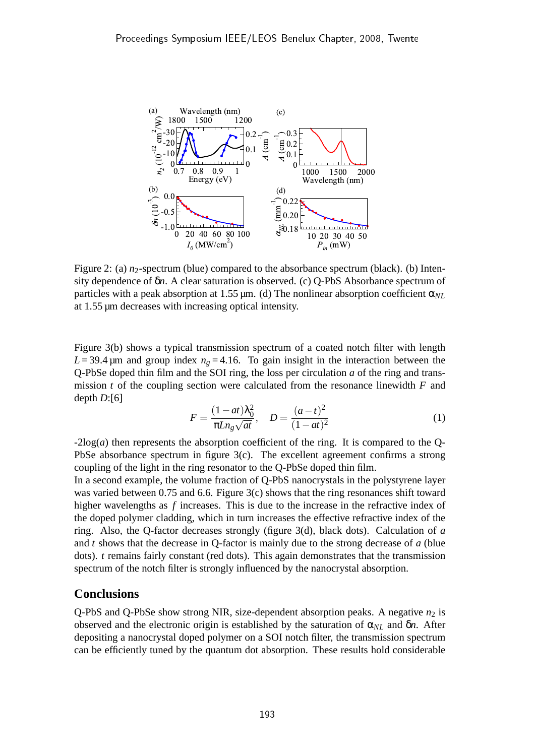

Figure 2: (a)  $n_2$ -spectrum (blue) compared to the absorbance spectrum (black). (b) Intensity dependence of δ*n*. A clear saturation is observed. (c) Q-PbS Absorbance spectrum of particles with a peak absorption at 1.55  $\mu$ m. (d) The nonlinear absorption coefficient  $\alpha_{NL}$ at 1.55 µm decreases with increasing optical intensity.

Figure 3(b) shows a typical transmission spectrum of a coated notch filter with length  $L = 39.4 \,\mu$ m and group index  $n<sub>g</sub> = 4.16$ . To gain insight in the interaction between the Q-PbSe doped thin film and the SOI ring, the loss per circulation *a* of the ring and transmission *t* of the coupling section were calculated from the resonance linewidth *F* and depth *D*:[6]

$$
F = \frac{(1 - at)\lambda_0^2}{\pi L n_g \sqrt{at}}, \quad D = \frac{(a - t)^2}{(1 - at)^2}
$$
 (1)

-2log(*a*) then represents the absorption coefficient of the ring. It is compared to the Q-PbSe absorbance spectrum in figure 3(c). The excellent agreement confirms a strong coupling of the light in the ring resonator to the Q-PbSe doped thin film.

In a second example, the volume fraction of Q-PbS nanocrystals in the polystyrene layer was varied between 0.75 and 6.6. Figure 3(c) shows that the ring resonances shift toward higher wavelengths as *f* increases. This is due to the increase in the refractive index of the doped polymer cladding, which in turn increases the effective refractive index of the ring. Also, the Q-factor decreases strongly (figure 3(d), black dots). Calculation of *a* and *t* shows that the decrease in Q-factor is mainly due to the strong decrease of *a* (blue dots). *t* remains fairly constant (red dots). This again demonstrates that the transmission spectrum of the notch filter is strongly influenced by the nanocrystal absorption.

#### **Conclusions**

Q-PbS and Q-PbSe show strong NIR, size-dependent absorption peaks. A negative  $n_2$  is observed and the electronic origin is established by the saturation of  $\alpha_{NL}$  and  $\delta n$ . After depositing a nanocrystal doped polymer on a SOI notch filter, the transmission spectrum can be efficiently tuned by the quantum dot absorption. These results hold considerable